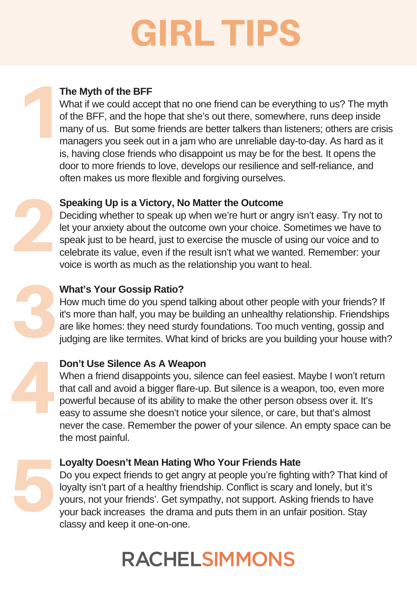# GIRL TIPS









# **The Myth of the BFF**

What if we could accept that no one friend can be everything to us? The myth of the BFF, and the hope that she's out there, somewhere, runs deep inside many of us. But some friends are better talkers than listeners; others are crisis managers you seek out in a jam who are unreliable day-to-day. As hard as it is, having close friends who disappoint us may be for the best. It opens the door to more friends to love, develops our resilience and self-reliance, and often makes us more flexible and forgiving ourselves.

# **Speaking Up is a Victory, No Matter the Outcome**

Deciding whether to speak up when we're hurt or angry isn't easy. Try not to let your anxiety about the outcome own your choice. Sometimes we have to speak just to be heard, just to exercise the muscle of using our voice and to celebrate its value, even if the result isn't what we wanted. Remember: your voice is worth as much as the relationship you want to heal.

 $\begin{array}{c} \n 100 \text{ Do} \\ \n 100 \text{ Wh} \\ \n 100 \text{ Do} \\ \n 100 \text{ Do} \\ \n 100 \text{ Do} \\ \n 100 \text{ Do} \\ \n 100 \text{ Do} \\ \n 100 \text{ Do} \\ \n 100 \text{ Do} \\ \n 100 \text{ Do} \\ \n 100 \text{ Do} \\ \n 100 \text{ Do} \\ \n 100 \text{ Do} \\ \n 100 \text{ Do} \\ \n 100 \text{ Do} \\ \n 100 \text{ Do} \\ \n 100 \text{ Do} \\ \n 100 \text{$ When a friend disappoints you, silence can feel easiest. Maybe I won't return that call and avoid a bigger flare-up. But silence is a weapon, too, even more powerful because of its ability to make the other person obsess over it. It's easy to assume she doesn't notice your silence, or care, but that's almost never the case. Remember the power of your silence. An empty space can be the most painful.

### **What's Your Gossip Ratio?**

How much time do you spend talking about other people with your friends? If it's more than half, you may be building an unhealthy relationship. Friendships are like homes: they need sturdy foundations. Too much venting, gossip and judging are like termites. What kind of bricks are you building your house with?

#### **Don't Use Silence As A Weapon**

### **Loyalty Doesn't Mean Hating Who Your Friends Hate**

Do you expect friends to get angry at people you're fighting with? That kind of loyalty isn't part of a healthy friendship. Conflict is scary and lonely, but it's yours, not your friends'. Get sympathy, not support. Asking friends to have your back increases the drama and puts them in an unfair position. Stay classy and keep it one-on-one.

# **RACHELSIMMONS**